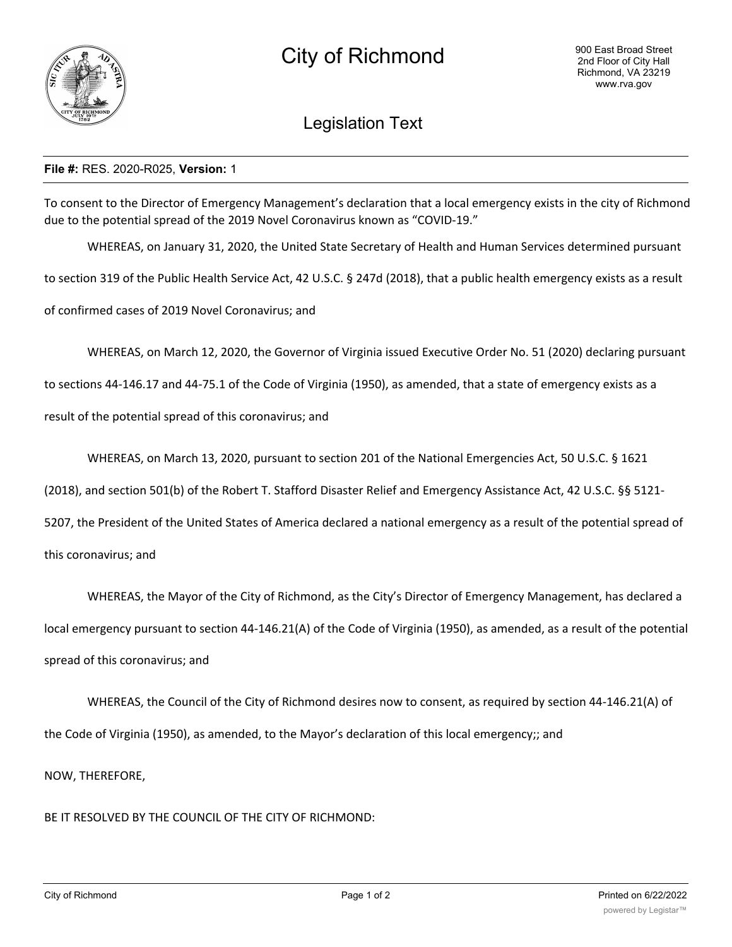

## Legislation Text

## **File #:** RES. 2020-R025, **Version:** 1

To consent to the Director of Emergency Management's declaration that a local emergency exists in the city of Richmond due to the potential spread of the 2019 Novel Coronavirus known as "COVID-19."

WHEREAS, on January 31, 2020, the United State Secretary of Health and Human Services determined pursuant to section 319 of the Public Health Service Act, 42 U.S.C. § 247d (2018), that a public health emergency exists as a result of confirmed cases of 2019 Novel Coronavirus; and

WHEREAS, on March 12, 2020, the Governor of Virginia issued Executive Order No. 51 (2020) declaring pursuant

to sections 44-146.17 and 44-75.1 of the Code of Virginia (1950), as amended, that a state of emergency exists as a

result of the potential spread of this coronavirus; and

WHEREAS, on March 13, 2020, pursuant to section 201 of the National Emergencies Act, 50 U.S.C. § 1621

(2018), and section 501(b) of the Robert T. Stafford Disaster Relief and Emergency Assistance Act, 42 U.S.C. §§ 5121-

5207, the President of the United States of America declared a national emergency as a result of the potential spread of

this coronavirus; and

WHEREAS, the Mayor of the City of Richmond, as the City's Director of Emergency Management, has declared a local emergency pursuant to section 44-146.21(A) of the Code of Virginia (1950), as amended, as a result of the potential spread of this coronavirus; and

WHEREAS, the Council of the City of Richmond desires now to consent, as required by section 44-146.21(A) of the Code of Virginia (1950), as amended, to the Mayor's declaration of this local emergency;; and

NOW, THEREFORE,

BE IT RESOLVED BY THE COUNCIL OF THE CITY OF RICHMOND: